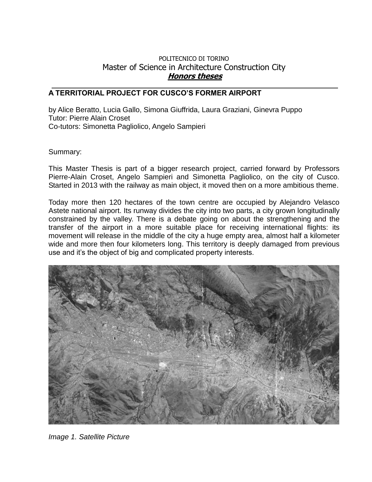## POLITECNICO DI TORINO Master of Science in Architecture Construction City **Honors theses**

## **A TERRITORIAL PROJECT FOR CUSCO'S FORMER AIRPORT**

by Alice Beratto, Lucia Gallo, Simona Giuffrida, Laura Graziani, Ginevra Puppo Tutor: Pierre Alain Croset Co-tutors: Simonetta Pagliolico, Angelo Sampieri

## Summary:

This Master Thesis is part of a bigger research project, carried forward by Professors Pierre-Alain Croset, Angelo Sampieri and Simonetta Pagliolico, on the city of Cusco. Started in 2013 with the railway as main object, it moved then on a more ambitious theme.

Today more then 120 hectares of the town centre are occupied by Alejandro Velasco Astete national airport. Its runway divides the city into two parts, a city grown longitudinally constrained by the valley. There is a debate going on about the strengthening and the transfer of the airport in a more suitable place for receiving international flights: its movement will release in the middle of the city a huge empty area, almost half a kilometer wide and more then four kilometers long. This territory is deeply damaged from previous use and it's the object of big and complicated property interests.



*Image 1. Satellite Picture*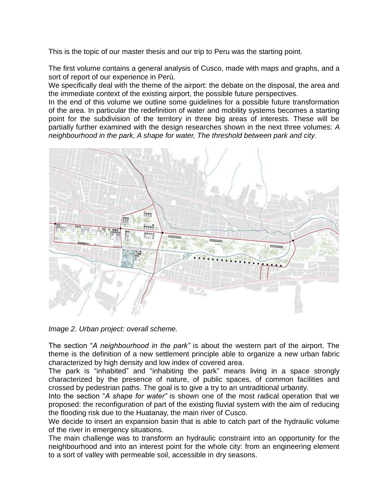This is the topic of our master thesis and our trip to Peru was the starting point.

The first volume contains a general analysis of Cusco, made with maps and graphs, and a sort of report of our experience in Perù.

We specifically deal with the theme of the airport: the debate on the disposal, the area and the immediate context of the existing airport, the possible future perspectives.

In the end of this volume we outline some guidelines for a possible future transformation of the area. In particular the redefinition of water and mobility systems becomes a starting point for the subdivision of the territory in three big areas of interests. These will be partially further examined with the design researches shown in the next three volumes: *A neighbourhood in the park, A shape for water, The threshold between park and city*.



*Image 2. Urban project: overall scheme.*

The section "*A neighbourhood in the park"* is about the western part of the airport. The theme is the definition of a new settlement principle able to organize a new urban fabric characterized by high density and low index of covered area.

The park is "inhabited" and "inhabiting the park" means living in a space strongly characterized by the presence of nature, of public spaces, of common facilities and crossed by pedestrian paths. The goal is to give a try to an untraditional urbanity.

Into the section "*A shape for water"* is shown one of the most radical operation that we proposed: the reconfiguration of part of the existing fluvial system with the aim of reducing the flooding risk due to the Huatanay, the main river of Cusco.

We decide to insert an expansion basin that is able to catch part of the hydraulic volume of the river in emergency situations.

The main challenge was to transform an hydraulic constraint into an opportunity for the neighbourhood and into an interest point for the whole city: from an engineering element to a sort of valley with permeable soil, accessible in dry seasons.